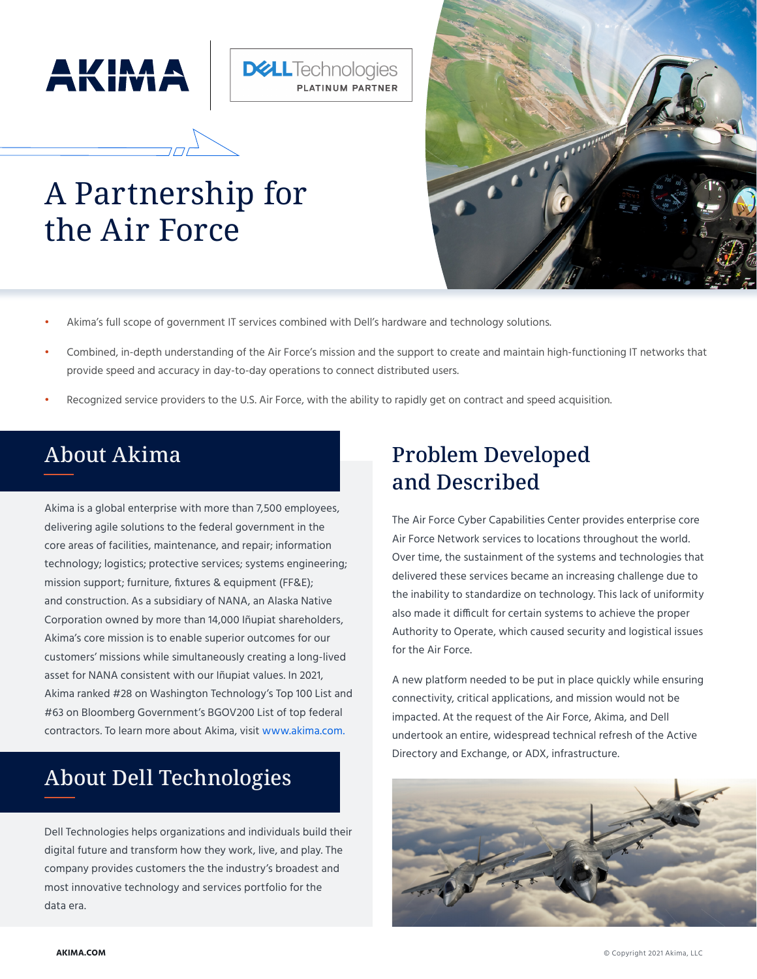



# A Partnership for the Air Force



- Akima's full scope of government IT services combined with Dell's hardware and technology solutions.
- Combined, in-depth understanding of the Air Force's mission and the support to create and maintain high-functioning IT networks that provide speed and accuracy in day-to-day operations to connect distributed users.
- Recognized service providers to the U.S. Air Force, with the ability to rapidly get on contract and speed acquisition.

### About Akima

Akima is a global enterprise with more than 7,500 employees, delivering agile solutions to the federal government in the core areas of facilities, maintenance, and repair; information technology; logistics; protective services; systems engineering; mission support; furniture, fixtures & equipment (FF&E); and construction. As a subsidiary of NANA, an Alaska Native Corporation owned by more than 14,000 Iñupiat shareholders, Akima's core mission is to enable superior outcomes for our customers' missions while simultaneously creating a long-lived asset for NANA consistent with our Iñupiat values. In 2021, Akima ranked #28 on Washington Technology's Top 100 List and #63 on Bloomberg Government's BGOV200 List of top federal contractors. To learn more about Akima, visit www.akima.com.

### About Dell Technologies

Dell Technologies helps organizations and individuals build their digital future and transform how they work, live, and play. The company provides customers the the industry's broadest and most innovative technology and services portfolio for the data era.

### Problem Developed and Described

The Air Force Cyber Capabilities Center provides enterprise core Air Force Network services to locations throughout the world. Over time, the sustainment of the systems and technologies that delivered these services became an increasing challenge due to the inability to standardize on technology. This lack of uniformity also made it difficult for certain systems to achieve the proper Authority to Operate, which caused security and logistical issues for the Air Force.

A new platform needed to be put in place quickly while ensuring connectivity, critical applications, and mission would not be impacted. At the request of the Air Force, Akima, and Dell undertook an entire, widespread technical refresh of the Active Directory and Exchange, or ADX, infrastructure.